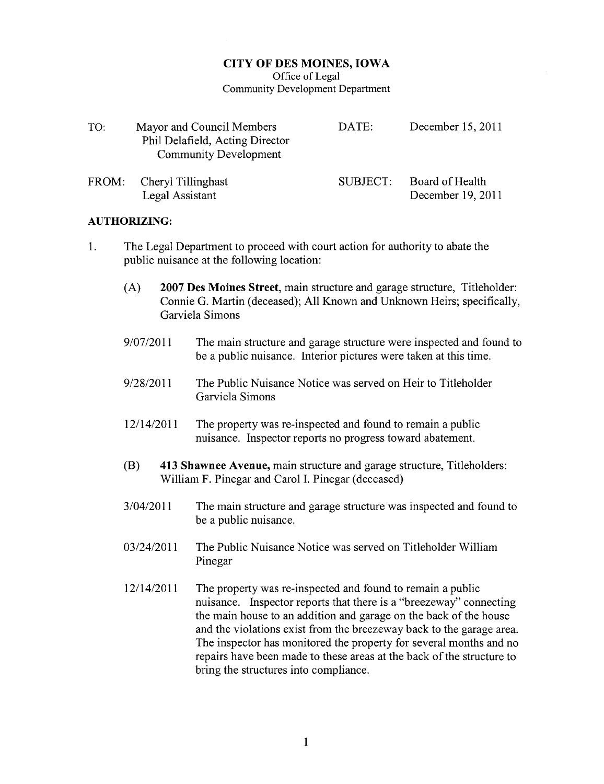## CITY OF DES MOINES, IOWA

Office of Legal

Community Development Department

| TO:   | Mayor and Council Members<br>Phil Delafield, Acting Director<br><b>Community Development</b> | DATE:           | December 15, 2011                    |
|-------|----------------------------------------------------------------------------------------------|-----------------|--------------------------------------|
| FROM: | Cheryl Tillinghast<br>Legal Assistant                                                        | <b>SUBJECT:</b> | Board of Health<br>December 19, 2011 |

## AUTHORIZING:

- 1. The Legal Department to proceed with court action for authority to abate the public nuisance at the following location:
	- (A) 2007 Des Moines Street, main structure and garage structure, Titleholder: Connie G. Marin (deceased); All Known and Unknown Heirs; specifically, Garvie1a Simons
	- 9/07/2011 The main structure and garage structure were inspected and found to be a public nuisance. Interior pictures were taken at this time.
	- 9/28/2011 The Public Nuisance Notice was served on Heir to Titleholder Garviela Simons
	- 12/1412011 The property was re-inspected and found to remain a public nuisance. Inspector reports no progress toward abatement.
	- (B) 413 Shawnee Avenue, main structure and garage structure, Titleholders: William F. Pinegar and Carol 1. Pinegar (deceased)
	- 3/04/2011 The main structure and garage structure was inspected and found to be a public nuisance.
	- 03/24/2011 The Public Nuisance Notice was served on Titleholder William Pinegar
	- 1211412011 The property was re-inspected and found to remain a public nuisance. Inspector reports that there is a "breezeway" connecting the main house to an addition and garage on the back of the house and the violations exist from the breezeway back to the garage area. The inspector has monitored the property for several months and no repairs have been made to these areas at the back of the structure to bring the structures into compliance.